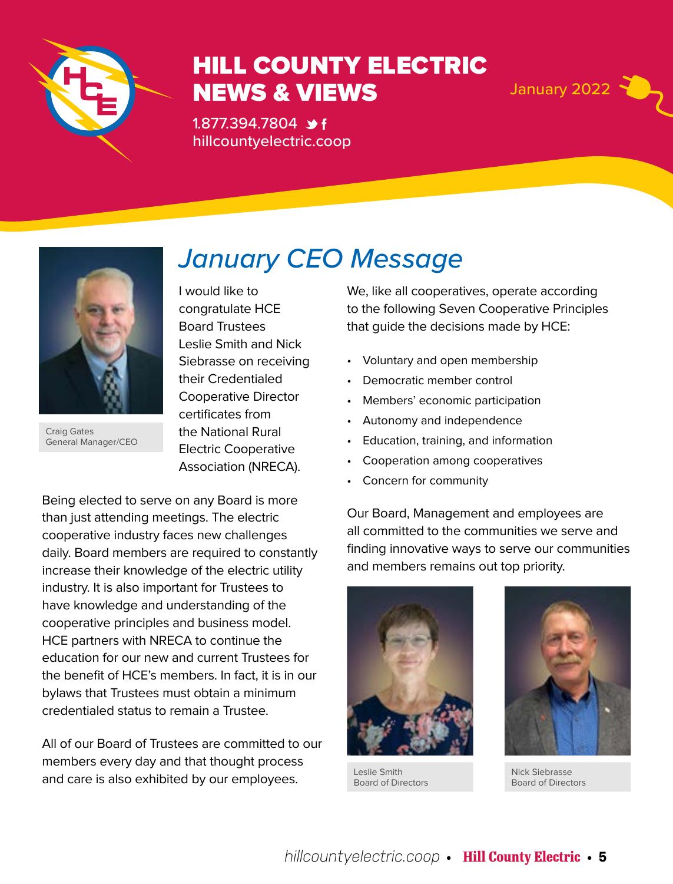

## HILL COUNTY ELECTRIC **NEWS & VIEWS January 2022**

1.877.394.7804 \*f hillcountyelectric.coop



Craig Gates General Manager/CEO

*January CEO Message* I would like to

congratulate HCE Board Trustees Leslie Smith and Nick Siebrasse on receiving their Credentialed Cooperative Director certificates from the National Rural Electric Cooperative Association (NRECA).

Being elected to serve on any Board is more than just attending meetings. The electric cooperative industry faces new challenges daily. Board members are required to constantly increase their knowledge of the electric utility industry. It is also important for Trustees to have knowledge and understanding of the cooperative principles and business model. HCE partners with NRECA to continue the education for our new and current Trustees for the benefit of HCE's members. In fact, it is in our bylaws that Trustees must obtain a minimum credentialed status to remain a Trustee.

All of our Board of Trustees are committed to our members every day and that thought process and care is also exhibited by our employees.

We, like all cooperatives, operate according to the following Seven Cooperative Principles that guide the decisions made by HCE:

- Voluntary and open membership
- Democratic member control
- Members' economic participation
- Autonomy and independence
- Education, training, and information
- Cooperation among cooperatives
- Concern for community

Our Board, Management and employees are all committed to the communities we serve and finding innovative ways to serve our communities and members remains out top priority.



Leslie Smith Board of Directors

Nick Siebrasse Board of Directors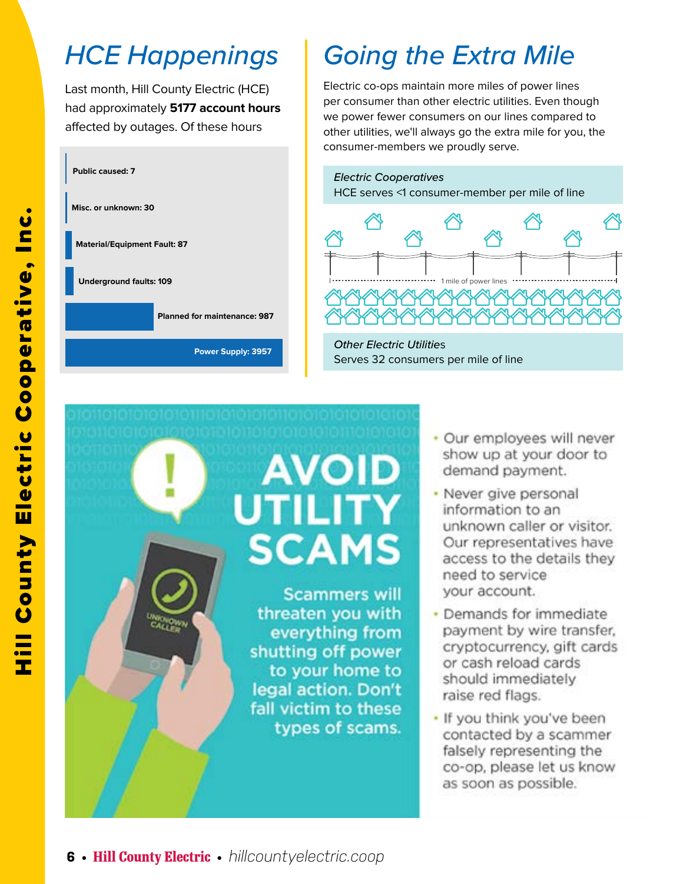## *HCE Happenings*

Last month, Hill County Electric (HCE) had approximately **5177 account hours**  affected by outages. Of these hours



## *Going the Extra Mile*

Electric co-ops maintain more miles of power lines per consumer than other electric utilities. Even though we power fewer consumers on our lines compared to other utilities, we'll always go the extra mile for you, the consumer-members we proudly serve.<br>————————————————————



**Other Electric Utilities Servers per mile of line of line of line of line of line of line of line of line of line** Serves 32 consumers per mile of line

# **AVOID UTILITY SCAMS**

**Scammers will** threaten you with everything from shutting off power to your home to legal action. Don't fall victim to these types of scams.

- · Our employees will never show up at your door to demand payment.
- Never give personal information to an unknown caller or visitor. Our representatives have access to the details they need to service your account.
- Demands for immediate payment by wire transfer, cryptocurrency, gift cards or cash reload cards should immediately raise red flags.
- . If you think you've been contacted by a scammer falsely representing the co-op, please let us know as soon as possible.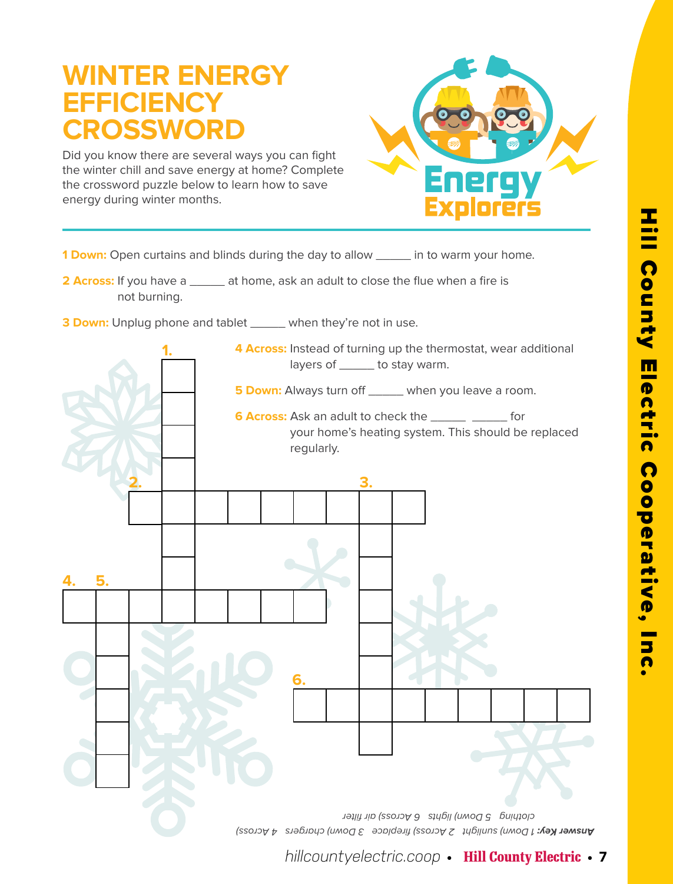## **WINTER ENERGY EFFICIENCY CROSSWORD**

Did you know there are several ways you can fight the winter chill and save energy at home? Complete the crossword puzzle below to learn how to save energy during winter months.



**1 Down:** Open curtains and blinds during the day to allow \_\_\_\_\_ in to warm your home.

**2 Across:** If you have a \_\_\_\_\_\_ at home, ask an adult to close the flue when a fire is not burning.

**3 Down:** Unplug phone and tablet \_\_\_\_\_ when they're not in use.